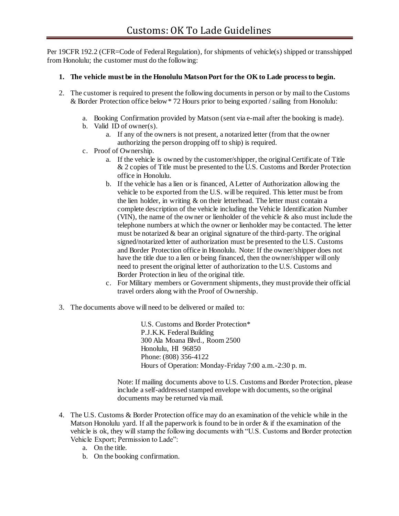Per 19CFR 192.2 (CFR=Code of Federal Regulation), for shipments of vehicle(s) shipped or transshipped from Honolulu; the customer must do the following:

## **1. The vehicle must be in the Honolulu Matson Port for the OK to Lade process to begin.**

- 2. The customer is required to present the following documents in person or by mail to the Customs & Border Protection office below\* 72 Hours prior to being exported / sailing from Honolulu:
	- a. Booking Confirmation provided by Matson (sent via e-mail after the booking is made).
	- b. Valid ID of owner(s).
		- a. If any of the owners is not present, a notarized letter (from that the owner authorizing the person dropping off to ship) is required.
	- c. Proof of Ownership.
		- a. If the vehicle is owned by the customer/shipper, the original Certificate of Title & 2 copies of Title must be presented to the U.S. Customs and Border Protection office in Honolulu.
		- b. If the vehicle has a lien or is financed, A Letter of Authorization allowing the vehicle to be exported from the U.S. will be required. This letter must be from the lien holder, in writing & on their letterhead. The letter must contain a complete description of the vehicle including the Vehicle Identification Number (VIN), the name of the owner or lienholder of the vehicle  $\&$  also must include the telephone numbers at which the owner or lienholder may be contacted. The letter must be notarized  $\&$  bear an original signature of the third-party. The original signed/notarized letter of authorization must be presented to the U.S. Customs and Border Protection office in Honolulu. Note: If the owner/shipper does not have the title due to a lien or being financed, then the owner/shipper will only need to present the original letter of authorization to the U.S. Customs and Border Protection in lieu of the original title.
		- c. For Military members or Government shipments, they must provide their official travel orders along with the Proof of Ownership.
- 3. The documents above will need to be delivered or mailed to:

U.S. Customs and Border Protection\* P.J.K.K. Federal Building 300 Ala Moana Blvd., Room 2500 Honolulu, HI 96850 Phone: (808) 356-4122 Hours of Operation: Monday-Friday 7:00 a.m.-2:30 p. m.

Note: If mailing documents above to U.S. Customs and Border Protection, please include a self-addressed stamped envelope with documents, so the original documents may be returned via mail.

- 4. The U.S. Customs & Border Protection office may do an examination of the vehicle while in the Matson Honolulu yard. If all the paperwork is found to be in order  $\&$  if the examination of the vehicle is ok, they will stamp the following documents with "U.S. Customs and Border protection Vehicle Export; Permission to Lade":
	- a. On the title.
	- b. On the booking confirmation.